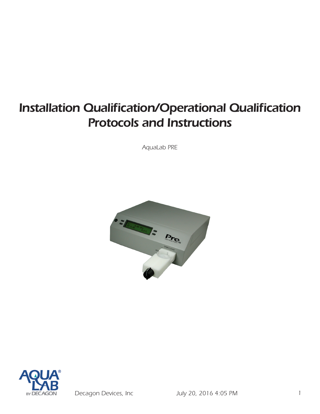# *Installation Qualification/Operational Qualification Protocols and Instructions*

*AquaLab PRE*





*Decagon Devices, Inc July 20, 2016 4:05 PM 1*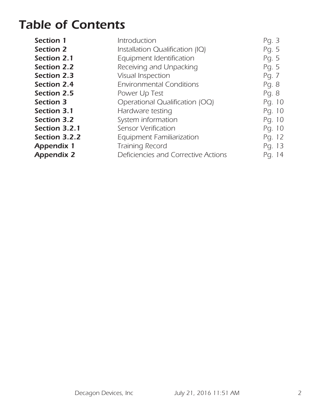## *Table of Contents*

| <b>Section 1</b>   | Introduction                        | Pg. 3  |
|--------------------|-------------------------------------|--------|
| <b>Section 2</b>   | Installation Qualification (IQ)     | Pg. 5  |
| Section 2.1        | Equipment Identification            | Pg. 5  |
| <b>Section 2.2</b> | Receiving and Unpacking             | Pg. 5  |
| <b>Section 2.3</b> | Visual Inspection                   | Pg. 7  |
| <b>Section 2.4</b> | <b>Environmental Conditions</b>     | Pg. 8  |
| <b>Section 2.5</b> | Power Up Test                       | Pg. 8  |
| <b>Section 3</b>   | Operational Qualification (OQ)      | Pg. 10 |
| Section 3.1        | Hardware testing                    | Pg. 10 |
| <b>Section 3.2</b> | System information                  | Pg. 10 |
| Section 3.2.1      | <b>Sensor Verification</b>          | Pg. 10 |
| Section 3.2.2      | <b>Equipment Familiarization</b>    | Pg. 12 |
| <b>Appendix 1</b>  | Training Record                     | Pg. 13 |
| <b>Appendix 2</b>  | Deficiencies and Corrective Actions | Pg. 14 |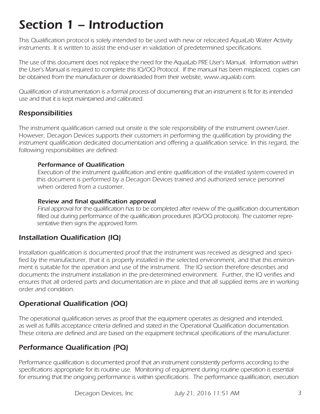# *Section 1 – Introduction*

*This Qualification protocol is solely intended to be used with new or relocated AquaLab Water Activity instruments. It is written to assist the end-user in validation of predetermined specifications.* 

*The use of this document does not replace the need for the AquaLab PRE User's Manual. Information within the User's Manual is required to complete this IQ/OQ Protocol. If the manual has been misplaced, copies can be obtained from the manufacturer or downloaded from their website, www.aqualab.com.*

*Qualification of instrumentation is a formal process of documenting that an instrument is fit for its intended use and that it is kept maintained and calibrated.* 

### *Responsibilities*

*The instrument qualification carried out onsite is the sole responsibility of the instrument owner/user. However, Decagon Devices supports their customers in performing the qualification by providing the*  instrument qualification dedicated documentation and offering a qualification service. In this regard, the *following responsibilities are defined:*

#### *Performance of Qualification*

*Execution of the instrument qualification and entire qualification of the installed system covered in*  this document is performed by a Decagon Devices trained and authorized service personnel *when ordered from a customer.*

#### *Review and final qualification approval*

*Final approval for the qualification has to be completed after review of the qualification documentation filled out during performance of the qualification procedures (IQ/OQ protocols). The customer representative then signs the approved form.* 

#### *Installation Qualification (IQ)*

*Installation qualification is documented proof that the instrument was received as designed and specified by the manufacturer, that it is properly installed in the selected environment, and that this environment is suitable for the operation and use of the instrument. The IQ section therefore describes and documents the instrument installation in the pre-determined environment. Further, the IQ verifies and*  ensures that all ordered parts and documentation are in place and that all supplied items are in working *order and condition.* 

### *Operational Qualification (OQ)*

*The operational qualification serves as proof that the equipment operates as designed and intended, as well as fulfills acceptance criteria defined and stated in the Operational Qualification documentation. These criteria are defined and are based on the equipment technical specifications of the manufacturer.* 

### *Performance Qualification (PQ)*

*Performance qualification is documented proof that an instrument consistently performs according to the specifications appropriate for its routine use. Monitoring of equipment during routine operation is essential*  for ensuring that the ongoing performance is within specifications. The performance qualification, execution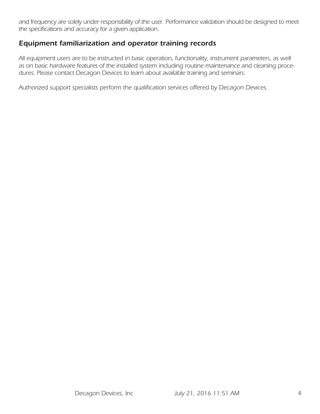and frequency are solely under responsibility of the user. Performance validation should be designed to meet *the specifications and accuracy for a given application.* 

#### *Equipment familiarization and operator training records*

*All equipment users are to be instructed in basic operation, functionality, instrument parameters, as well as on basic hardware features of the installed system including routine maintenance and cleaning procedures. Please contact Decagon Devices to learn about available training and seminars.* 

*Authorized support specialists perform the qualification services offered by Decagon Devices.*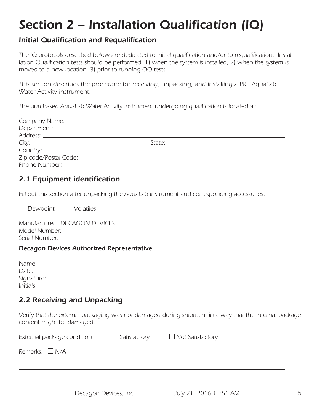# *Section 2 – Installation Qualification (IQ)*

### *Initial Qualification and Requalification*

*The IQ protocols described below are dedicated to initial qualification and/or to requalification. Installation Qualification tests should be performed, 1) when the system is installed, 2) when the system is moved to a new location, 3) prior to running OQ tests.*

*This section describes the procedure for receiving, unpacking, and installing a PRE AquaLab Water Activity instrument.* 

*The purchased AquaLab Water Activity instrument undergoing qualification is located at:*

### *2.1 Equipment identification*

*Fill out this section after unpacking the AquaLab instrument and corresponding accessories.* 

 *Dewpoint Volatiles* 

*Manufacturer: DECAGON DEVICES Model Number: Serial Number:* 

#### *Decagon Devices Authorized Representative*

| Name:            |  |
|------------------|--|
| Date: $\_\_$     |  |
|                  |  |
| $Initials: \_\_$ |  |

### *2.2 Receiving and Unpacking*

*Verify that the external packaging was not damaged during shipment in a way that the internal package content might be damaged.* 

| External package condition | $\Box$ Satisfactory | $\Box$ Not Satisfactory |
|----------------------------|---------------------|-------------------------|
| Remarks: $\Box$ N/A        |                     |                         |
|                            |                     |                         |
|                            |                     |                         |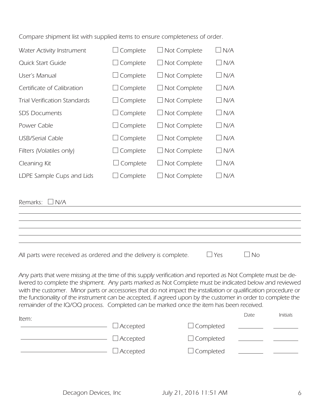*Compare shipment list with supplied items to ensure completeness of order.* 

| Water Activity Instrument           | $\Box$ Complete | $\Box$ Not Complete | $\Box$ N/A    |
|-------------------------------------|-----------------|---------------------|---------------|
| Quick Start Guide                   | $\Box$ Complete | $\Box$ Not Complete | $\Box$ N/A    |
| User's Manual                       | $\Box$ Complete | $\Box$ Not Complete | $\Box$ N/A    |
| Certificate of Calibration          | $\Box$ Complete | $\Box$ Not Complete | $\Box$ N/A    |
| <b>Trial Verification Standards</b> | $\Box$ Complete | $\Box$ Not Complete | $\Box$ N/A    |
| <b>SDS Documents</b>                | $\Box$ Complete | $\Box$ Not Complete | $\Box$ N/A    |
| Power Cable                         | $\Box$ Complete | $\Box$ Not Complete | $\Box$ N/A    |
| <b>USB/Serial Cable</b>             | $\Box$ Complete | $\Box$ Not Complete | $\Box$ N/A    |
| Filters (Volatiles only)            | $\Box$ Complete | $\Box$ Not Complete | $\Box$ N/A    |
| Cleaning Kit                        | Complete        | $\Box$ Not Complete | $\square$ N/A |
| LDPE Sample Cups and Lids           | Complete        | $\Box$ Not Complete | $\Box$ N/A    |
|                                     |                 |                     |               |

| Remarks: $\Box$ N/A                                              |            |           |  |
|------------------------------------------------------------------|------------|-----------|--|
|                                                                  |            |           |  |
|                                                                  |            |           |  |
|                                                                  |            |           |  |
|                                                                  |            |           |  |
|                                                                  |            |           |  |
| All parts were received as ordered and the delivery is complete. | $\Box$ Yes | $\Box$ No |  |

| Any parts that were missing at the time of this supply verification and reported as Not Complete must be de-    |
|-----------------------------------------------------------------------------------------------------------------|
| livered to complete the shipment. Any parts marked as Not Complete must be indicated below and reviewed         |
| with the customer. Minor parts or accessories that do not impact the installation or qualification procedure or |
| the functionality of the instrument can be accepted, if agreed upon by the customer in order to complete the    |
| remainder of the IQ/OQ process. Completed can be marked once the item has been received.                        |

| Item: |                 |                  | Date | <b>Initials</b> |
|-------|-----------------|------------------|------|-----------------|
|       | $\Box$ Accepted | $\Box$ Completed |      |                 |
|       | $\Box$ Accepted | $\Box$ Completed |      |                 |
|       | $\Box$ Accepted | $\Box$ Completed |      |                 |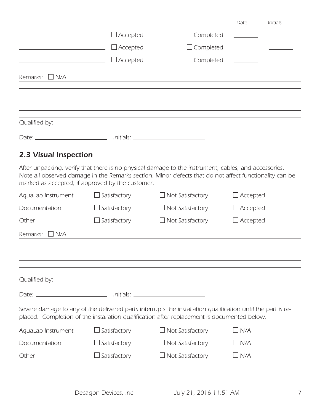|                                                                                  |                     |                                                                                                                                                                                                                | Date                                               | Initials |
|----------------------------------------------------------------------------------|---------------------|----------------------------------------------------------------------------------------------------------------------------------------------------------------------------------------------------------------|----------------------------------------------------|----------|
|                                                                                  | $\Box$ Accepted     | Scompleted                                                                                                                                                                                                     |                                                    |          |
|                                                                                  | $\Box$ Accepted     | $\Box$ Completed                                                                                                                                                                                               |                                                    |          |
| the control of the control of the control of                                     | $\Box$ Accepted     | $\Box$ Completed                                                                                                                                                                                               | <u>and the second control of the second second</u> |          |
| Remarks:<br>$\Box$ N/A                                                           |                     |                                                                                                                                                                                                                |                                                    |          |
| Qualified by:                                                                    |                     |                                                                                                                                                                                                                |                                                    |          |
| Date: __________________________________ Initials: _____________________________ |                     |                                                                                                                                                                                                                |                                                    |          |
| 2.3 Visual Inspection                                                            |                     |                                                                                                                                                                                                                |                                                    |          |
| marked as accepted, if approved by the customer.                                 |                     | After unpacking, verify that there is no physical damage to the instrument, cables, and accessories.<br>Note all observed damage in the Remarks section. Minor defects that do not affect functionality can be |                                                    |          |
| AquaLab Instrument                                                               | Satisfactory        | $\Box$ Not Satisfactory                                                                                                                                                                                        | $\Box$ Accepted                                    |          |
| Documentation                                                                    | $\Box$ Satisfactory | $\Box$ Not Satisfactory                                                                                                                                                                                        | $\Box$ Accepted                                    |          |
| Other                                                                            | Satisfactory        | $\Box$ Not Satisfactory                                                                                                                                                                                        | $\Box$ Accepted                                    |          |
| Remarks:<br>$\Box$ N/A                                                           |                     |                                                                                                                                                                                                                |                                                    |          |
|                                                                                  |                     |                                                                                                                                                                                                                |                                                    |          |
|                                                                                  |                     |                                                                                                                                                                                                                |                                                    |          |
| Qualified by:                                                                    |                     |                                                                                                                                                                                                                |                                                    |          |
| Date: __________________________________ Initials: _____________________________ |                     |                                                                                                                                                                                                                |                                                    |          |
|                                                                                  |                     | Severe damage to any of the delivered parts interrupts the installation qualification until the part is re-<br>placed. Completion of the installation qualification after replacement is documented below.     |                                                    |          |
| AquaLab Instrument                                                               | Satisfactory        | $\Box$ Not Satisfactory                                                                                                                                                                                        | $\Box$ N/A                                         |          |
| Documentation                                                                    | $\Box$ Satisfactory | $\Box$ Not Satisfactory                                                                                                                                                                                        | $\Box$ N/A                                         |          |
| Other                                                                            | Satisfactory        | $\Box$ Not Satisfactory                                                                                                                                                                                        | $\Box$ N/A                                         |          |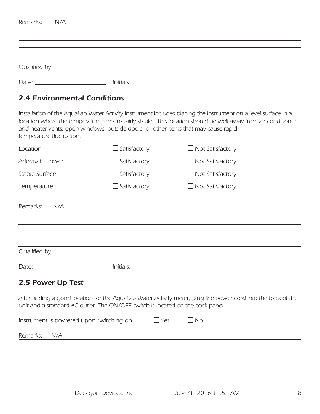| Remarks:<br>$\Box$ N/A                                                                                                                                                                                                                                                                                                                          |                     |                         |  |
|-------------------------------------------------------------------------------------------------------------------------------------------------------------------------------------------------------------------------------------------------------------------------------------------------------------------------------------------------|---------------------|-------------------------|--|
| Qualified by:                                                                                                                                                                                                                                                                                                                                   |                     |                         |  |
|                                                                                                                                                                                                                                                                                                                                                 |                     |                         |  |
| <b>2.4 Environmental Conditions</b>                                                                                                                                                                                                                                                                                                             |                     |                         |  |
| Installation of the AquaLab Water Activity instrument includes placing the instrument on a level surface in a<br>location where the temperature remains fairly stable. This location should be well away from air conditioner<br>and heater vents, open windows, outside doors, or other items that may cause rapid<br>temperature fluctuation. |                     |                         |  |
| Location                                                                                                                                                                                                                                                                                                                                        | Satisfactory        | $\Box$ Not Satisfactory |  |
| Adequate Power                                                                                                                                                                                                                                                                                                                                  | $\Box$ Satisfactory | $\Box$ Not Satisfactory |  |
| Stable Surface                                                                                                                                                                                                                                                                                                                                  | Satisfactory        | $\Box$ Not Satisfactory |  |
| Temperature                                                                                                                                                                                                                                                                                                                                     | Satisfactory        | Not Satisfactory        |  |

| Qualified by: |           |  |
|---------------|-----------|--|
| Date:         | Initials: |  |

### *2.5 Power Up Test*

*After finding a good location for the AquaLab Water Activity meter, plug the power cord into the back of the*  unit and a standard AC outlet. The ON/OFF switch is located on the back panel.

| Instrument is powered upon switching on | $\Box$ Yes | $\Box$ No |  |
|-----------------------------------------|------------|-----------|--|
| Remarks: $\square$ N/A                  |            |           |  |
|                                         |            |           |  |
|                                         |            |           |  |
|                                         |            |           |  |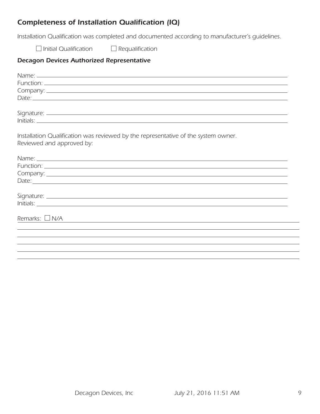### *Completeness of Installation Qualification (IQ)*

*Installation Qualification was completed and documented according to manufacturer's guidelines.* 

 *Initial Qualification Requalification*

#### *Decagon Devices Authorized Representative*

| Installation Qualification was reviewed by the representative of the system owner.                             |
|----------------------------------------------------------------------------------------------------------------|
| Reviewed and approved by:                                                                                      |
|                                                                                                                |
| Name: Latin Communication and the communication of the communication of the communication of the communication |
|                                                                                                                |
|                                                                                                                |
|                                                                                                                |
|                                                                                                                |
|                                                                                                                |
|                                                                                                                |
|                                                                                                                |
| Remarks: $\Box$ N/A                                                                                            |
|                                                                                                                |
|                                                                                                                |
|                                                                                                                |
|                                                                                                                |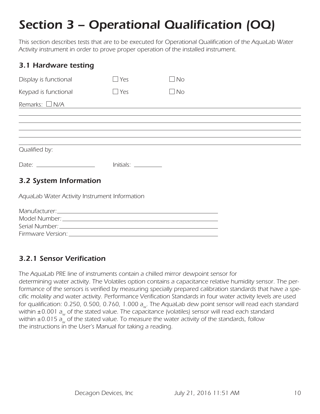# *Section 3 – Operational Qualification (OQ)*

*This section describes tests that are to be executed for Operational Qualification of the AquaLab Water Activity instrument in order to prove proper operation of the installed instrument.*

| $\Box$ Yes                                    | $\Box$ No |                                                                                                                       |
|-----------------------------------------------|-----------|-----------------------------------------------------------------------------------------------------------------------|
| $\Box$ Yes                                    | $\Box$ No |                                                                                                                       |
|                                               |           |                                                                                                                       |
|                                               |           |                                                                                                                       |
|                                               |           |                                                                                                                       |
|                                               |           |                                                                                                                       |
|                                               |           |                                                                                                                       |
| 3.2 System Information                        |           |                                                                                                                       |
| AquaLab Water Activity Instrument Information |           |                                                                                                                       |
|                                               |           |                                                                                                                       |
|                                               |           |                                                                                                                       |
|                                               |           |                                                                                                                       |
|                                               |           | <u> 1989 - Johann Harry Harry Harry Harry Harry Harry Harry Harry Harry Harry Harry Harry Harry Harry Harry Harry</u> |

### *3.2.1 Sensor Verification*

*The AquaLab PRE line of instruments contain a chilled mirror dewpoint sensor for determining water activity. The Volatiles option contains a capacitance relative humidity sensor. The performance of the sensors is verified by measuring specially prepared calibration standards that have a specific molality and water activity. Performance Verification Standards in four water activity levels are used for qualification: 0.250, 0.500, 0.760, 1.000 aw. The AquaLab dew point sensor will read each standard*  within ±0.001 a<sub>w</sub> of the stated value. The capacitance (volatiles) sensor will read each standard within  $\pm 0.015$  a<sub>w</sub> of the stated value. To measure the water activity of the standards, follow *the instructions in the User's Manual for taking a reading.*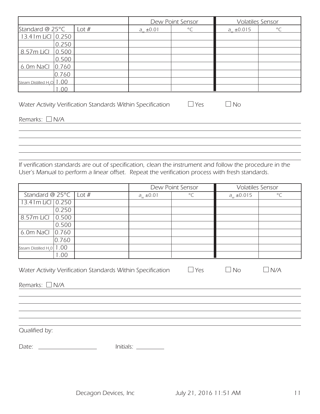|                                       |                                                                                       |                   | Dew Point Sensor | <b>Volatiles Sensor</b> |           |
|---------------------------------------|---------------------------------------------------------------------------------------|-------------------|------------------|-------------------------|-----------|
| Standard @ $25^{\circ}$ C             | Lot $#$                                                                               | $a_{11} \pm 0.01$ | $\rm ^{\circ}C$  | $a_{11} \pm 0.015$      | $\circ$ C |
| 13.41m LiCI 0.250                     |                                                                                       |                   |                  |                         |           |
| 0.250                                 |                                                                                       |                   |                  |                         |           |
| 0.500<br>8.57m LiCl                   |                                                                                       |                   |                  |                         |           |
| 0.500                                 |                                                                                       |                   |                  |                         |           |
| 6.0m NaCl<br> 0.760                   |                                                                                       |                   |                  |                         |           |
| 0.760                                 |                                                                                       |                   |                  |                         |           |
| Steam Distilled H <sub>2</sub> O 1.00 |                                                                                       |                   |                  |                         |           |
| .00                                   |                                                                                       |                   |                  |                         |           |
|                                       |                                                                                       |                   |                  |                         |           |
|                                       | $\Box$ Yes<br>Water Activity Verification Standards Within Specification<br><b>No</b> |                   |                  |                         |           |

*Remarks: N/A* 

*If verification standards are out of specification, clean the instrument and follow the procedure in the User's Manual to perform a linear offset. Repeat the verification process with fresh standards.* 

|                                   |       | Dew Point Sensor |           | <b>Volatiles Sensor</b> |         |
|-----------------------------------|-------|------------------|-----------|-------------------------|---------|
| Standard @ $25^{\circ}$ C   Lot # |       | $a_{w} \pm 0.01$ | $\circ$ C | $a_{w} \pm 0.015$       | $\circ$ |
| 13.41m LiCl 0.250                 |       |                  |           |                         |         |
|                                   | 0.250 |                  |           |                         |         |
| 8.57m LiCl                        | 0.500 |                  |           |                         |         |
|                                   | 0.500 |                  |           |                         |         |
| 6.0m NaCl $ 0.760$                |       |                  |           |                         |         |
|                                   | 0.760 |                  |           |                         |         |
| Steam Distilled H <sub>2</sub> 0  | .00.  |                  |           |                         |         |
|                                   | .00   |                  |           |                         |         |

| Water Activity Verification Standards Within Specification | $\sqcup$ Yes | $\overline{\phantom{a}}$ No | $\perp$ N/A |
|------------------------------------------------------------|--------------|-----------------------------|-------------|
|------------------------------------------------------------|--------------|-----------------------------|-------------|

*Remarks: N/A* 

*Qualified by:*

*Date: Initials:*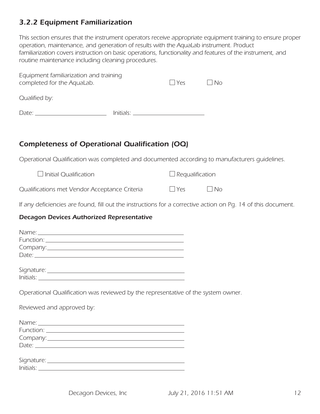### *3.2.2 Equipment Familiarization*

*This section ensures that the instrument operators receive appropriate equipment training to ensure proper operation, maintenance, and generation of results with the AquaLab instrument. Product*  familiarization covers instruction on basic operations, functionality and features of the instrument, and *routine maintenance including cleaning procedures.*

| Equipment familiarization and training<br>completed for the AquaLab. |                                  | $ $ $ $ $Yes$ | $\Box$ No |
|----------------------------------------------------------------------|----------------------------------|---------------|-----------|
| Qualified by:                                                        |                                  |               |           |
| Date:                                                                | <u>Initials: _______________</u> |               |           |

### *Completeness of Operational Qualification (OQ)*

*Operational Qualification was completed and documented according to manufacturers guidelines.* 

| $\Box$ Initial Qualification                  | $\Box$ Requalification |           |
|-----------------------------------------------|------------------------|-----------|
| Qualifications met Vendor Acceptance Criteria | $\Box$ Yes             | $\Box$ No |

*If any deficiencies are found, fill out the instructions for a corrective action on Pg. 14 of this document.*

#### *Decagon Devices Authorized Representative*

| Date: $\overline{\phantom{a}}$                                          |  |
|-------------------------------------------------------------------------|--|
|                                                                         |  |
|                                                                         |  |
|                                                                         |  |
| Operational Qualification was reviewed by the representative of the sy- |  |
| Reviewed and approved by:                                               |  |
|                                                                         |  |
|                                                                         |  |
|                                                                         |  |
|                                                                         |  |
|                                                                         |  |

*Operational Qualification was reviewed by the representative of the system owner.* 

| Date: $\frac{1}{2}$                           |  |
|-----------------------------------------------|--|
|                                               |  |
| Signature: __________________________________ |  |
|                                               |  |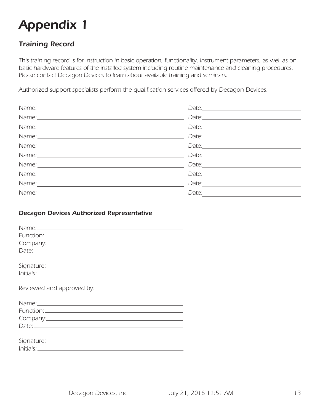# *Appendix 1*

### *Training Record*

*This training record is for instruction in basic operation, functionality, instrument parameters, as well as on basic hardware features of the installed system including routine maintenance and cleaning procedures. Please contact Decagon Devices to learn about available training and seminars.* 

*Authorized support specialists perform the qualification services offered by Decagon Devices.* 

|                                                                                                                       | Date: <u>Date: Sale and Sale and Sale and Sale and Sale and Sale and Sale and Sale and Sale and Sale and Sale and Sale and Sale and Sale and Sale and Sale and Sale and Sale and Sale and Sale and Sale and Sale and Sale and Sa</u>                                                                                                                                                                                                                               |
|-----------------------------------------------------------------------------------------------------------------------|--------------------------------------------------------------------------------------------------------------------------------------------------------------------------------------------------------------------------------------------------------------------------------------------------------------------------------------------------------------------------------------------------------------------------------------------------------------------|
|                                                                                                                       | Date: <u>Date: Experience</u>                                                                                                                                                                                                                                                                                                                                                                                                                                      |
|                                                                                                                       |                                                                                                                                                                                                                                                                                                                                                                                                                                                                    |
|                                                                                                                       | $\text{Date:}\n \begin{tabular}{ c c c } \hline \multicolumn{3}{ c }{\text{Date:}}\hline \multicolumn{3}{ c }{\text{Date:}}\hline \multicolumn{3}{ c }{\text{Date:}}\hline \multicolumn{3}{ c }{\text{Date:}}\hline \multicolumn{3}{ c }{\text{Date:}}\hline \multicolumn{3}{ c }{\text{Date:}}\hline \multicolumn{3}{ c }{\text{Date:}}\hline \multicolumn{3}{ c }{\text{Date:}}\hline \multicolumn{3}{ c }{\text{Date:}}\hline \multicolumn{3}{ c }{\text{Date:$ |
|                                                                                                                       | $\text{Date:}\n \begin{tabular}{ c c c c } \hline \hline \multicolumn{3}{ c }{\text{Date:}}\hline \multicolumn{3}{ c }{\text{Date:}}\hline \multicolumn{3}{ c }{\text{Date:}}\hline \multicolumn{3}{ c }{\text{Date:}}\hline \multicolumn{3}{ c }{\text{Date:}}\hline \multicolumn{3}{ c }{\text{Date:}}\hline \multicolumn{3}{ c }{\text{Date:}}\hline \multicolumn{3}{ c }{\text{Date:}}\hline \multicolumn{3}{ c }{\text{Date:}}\hline \multicolumn{3}{ c }{$   |
|                                                                                                                       | $\text{Date:}\n \begin{tabular}{ c c c c } \hline \hline \multicolumn{3}{ c }{\text{Date:}}\hline \multicolumn{3}{ c }{\text{Date:}}\hline \multicolumn{3}{ c }{\text{Date:}}\hline \multicolumn{3}{ c }{\text{Date:}}\hline \multicolumn{3}{ c }{\text{Date:}}\hline \multicolumn{3}{ c }{\text{Date:}}\hline \multicolumn{3}{ c }{\text{Date:}}\hline \multicolumn{3}{ c }{\text{Date:}}\hline \multicolumn{3}{ c }{\text{Date:}}\hline \multicolumn{3}{ c }{$   |
|                                                                                                                       | Date: $\frac{1}{2}$ Date: $\frac{1}{2}$ Date: $\frac{1}{2}$ Date: $\frac{1}{2}$ Date: $\frac{1}{2}$ Date: $\frac{1}{2}$ Date: $\frac{1}{2}$ Date: $\frac{1}{2}$ Date: $\frac{1}{2}$ Date: $\frac{1}{2}$ Date: $\frac{1}{2}$ Date: $\frac{1}{2}$ Date: $\frac{1}{2}$ Date: $\frac{1}{2$                                                                                                                                                                             |
|                                                                                                                       | Date: $\overline{\phantom{a}}$                                                                                                                                                                                                                                                                                                                                                                                                                                     |
| Name:                                                                                                                 | Date: $\frac{1}{2}$                                                                                                                                                                                                                                                                                                                                                                                                                                                |
| Name: $\frac{1}{\sqrt{1-\frac{1}{2}}\sqrt{1-\frac{1}{2}}\sqrt{1-\frac{1}{2}}\sqrt{1-\frac{1}{2}}\sqrt{1-\frac{1}{2}}$ | Date: $\frac{1}{\sqrt{1-\frac{1}{2}}\sqrt{1-\frac{1}{2}}\sqrt{1-\frac{1}{2}}\sqrt{1-\frac{1}{2}}\sqrt{1-\frac{1}{2}}\sqrt{1-\frac{1}{2}}\sqrt{1-\frac{1}{2}}\sqrt{1-\frac{1}{2}}\sqrt{1-\frac{1}{2}}\sqrt{1-\frac{1}{2}}\sqrt{1-\frac{1}{2}}\sqrt{1-\frac{1}{2}}\sqrt{1-\frac{1}{2}}\sqrt{1-\frac{1}{2}}\sqrt{1-\frac{1}{2}}\sqrt{1-\frac{1}{2}}\sqrt{1-\frac{1}{2}}\sqrt{1-\frac{1}{2}}\sqrt{1-\frac{1}{2}}$                                                      |

#### *Decagon Devices Authorized Representative*

| Name: Name and the second contract of the second contract of the second contract of the second contract of the |  |
|----------------------------------------------------------------------------------------------------------------|--|
|                                                                                                                |  |
|                                                                                                                |  |
|                                                                                                                |  |
|                                                                                                                |  |
|                                                                                                                |  |
|                                                                                                                |  |
|                                                                                                                |  |
| Reviewed and approved by:                                                                                      |  |
|                                                                                                                |  |
|                                                                                                                |  |
|                                                                                                                |  |
|                                                                                                                |  |
|                                                                                                                |  |
|                                                                                                                |  |
|                                                                                                                |  |
|                                                                                                                |  |